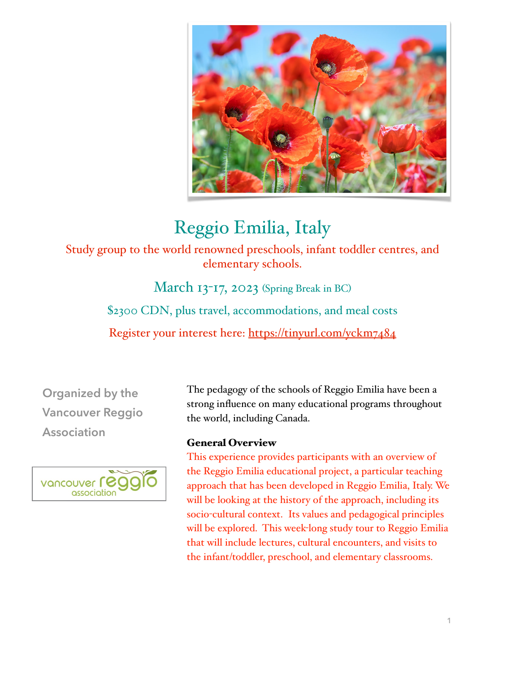

## Reggio Emilia, Italy

Study group to the world renowned preschools, infant toddler centres, and elementary schools.

> March 13-17, 2023 (Spring Break in BC) \$2300 CDN, plus travel, accommodations, and meal costs Register your interest here:<https://tinyurl.com/yckm7484>

**Organized by the Vancouver Reggio Association**



The pedagogy of the schools of Reggio Emilia have been a strong influence on many educational programs throughout the world, including Canada.

## General Overview

This experience provides participants with an overview of the Reggio Emilia educational project, a particular teaching approach that has been developed in Reggio Emilia, Italy. We will be looking at the history of the approach, including its socio-cultural context. Its values and pedagogical principles will be explored. This week-long study tour to Reggio Emilia that will include lectures, cultural encounters, and visits to the infant/toddler, preschool, and elementary classrooms.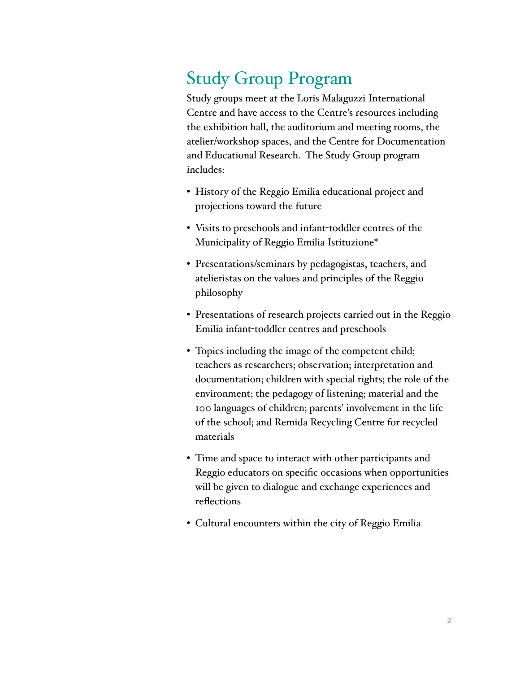## Study Group Program

Study groups meet at the Loris Malaguzzi International Centre and have access to the Centre's resources including the exhibition hall, the auditorium and meeting rooms, the atelier/workshop spaces, and the Centre for Documentation and Educational Research. The Study Group program includes:

- History of the Reggio Emilia educational project and projections toward the future
- Visits to preschools and infant-toddler centres of the Municipality of Reggio Emilia Istituzione\*
- Presentations/seminars by pedagogistas, teachers, and atelieristas on the values and principles of the Reggio philosophy
- Presentations of research projects carried out in the Reggio Emilia infant-toddler centres and preschools
- Topics including the image of the competent child; teachers as researchers; observation; interpretation and documentation; children with special rights; the role of the environment; the pedagogy of listening; material and the 100 languages of children; parents' involvement in the life of the school; and Remida Recycling Centre for recycled materials
- Time and space to interact with other participants and Reggio educators on specific occasions when opportunities will be given to dialogue and exchange experiences and reflections
- Cultural encounters within the city of Reggio Emilia